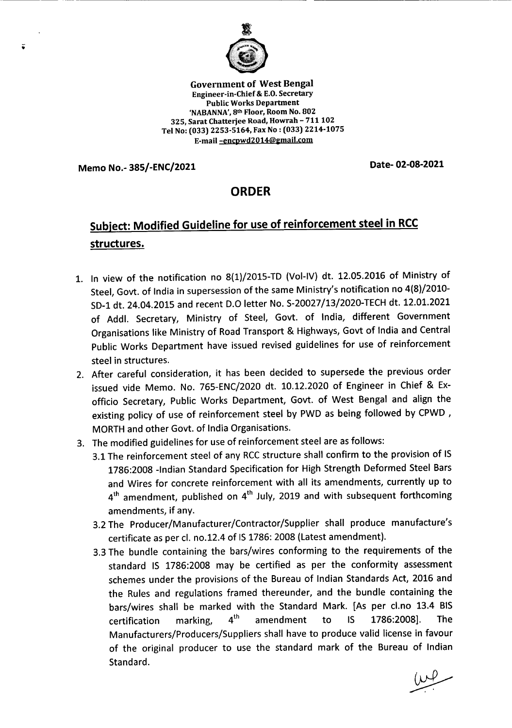

Government of West Bengal Engineer-in-Chief & E.O.Secretary Public Works Department 'NABANNA',8th Floor, Room No. 802 325, Sarat Chatterjee Road, Howrah - 711 102 Tel No: (033) 2253-5164, Fax No: (033) 2214-1075 E-mail-encpwd2014@email.com

Memo No.- 385/-ENC/2021 Date- 02-08-2021

--- - ----- ---------------------

 $\tilde{\bullet}$ 

## ORDER

## Subject: Modified Guideline for use of reinforcement steel in RCC structures.

- 1. In view of the notification no 8(1)/2015-TD (Vol-IV) dt. 12.05.2016 of Ministry of Steel, Govt. of India in supersession of the same Ministry's notification no 4(8)/2010-SD-1dt. 24.04.2015 and recent 0.0 letter No. S-20027/13/2020-TECHdt. 12.01.2021 of Addl. Secretary, Ministry of Steel, Govt. of India, different Government Organisations like Ministry of RoadTransport & Highways, Govt of India and Central Public Works Department have issued revised guidelines for use of reinforcement steel in structures.
- 2. After careful consideration, it has been decided to supersede the previous order issued vide Memo. No. 765-ENC/2020 dt. 10.12.2020 of Engineer in Chief & Exofficio Secretary, Public Works Department, Govt. of West Bengal and align the existing policy of use of reinforcement steel by PWD as being followed by CPWD, MORTH and other Govt. of India Organisations.
- 3. The modified guidelines for use of reinforcement steel are as follows:
	- 3.1 The reinforcement steel of any RCC structure shall confirm to the provision of IS 1786:2008 -Indian Standard Specification for High Strength Deformed Steel Bars and Wires for concrete reinforcement with all its amendments, currently up to 4<sup>th</sup> amendment, published on 4<sup>th</sup> July, 2019 and with subsequent forthcoming amendments, if any.
	- 3.2 The Producer/Manufacturer/Contractor/Supplier shall produce manufacture's certificate as per cl. no.12.4 of IS 1786: 2008 (Latest amendment).
	- 3.3 The bundle containing the bars/wires conforming to the requirements of the standard IS 1786:2008 may be certified as per the conformity assessment schemes under the provisions of the Bureau of Indian Standards Act, 2016 and the Rules and regulations framed thereunder, and the bundle containing the bars/wires shall be marked with the Standard Mark. [As per cl.no 13.4 BIS certification marking,  $4^{th}$  amendment to IS 1786:2008]. The Manufacturers/Producers/Suppliers shall have to produce valid license in favour of the original producer to use the standard mark of the Bureau of Indian Standard.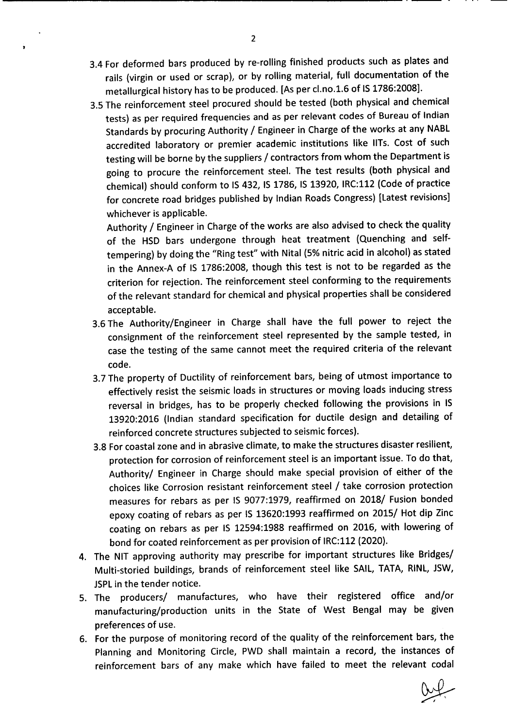- 3.4 For deformed bars produced by re-rolling finished products such as plates and rails (virgin or used or scrap), or by rolling material, full documentation of the metallurgical history has to be produced. [As per cl.no.1.6 of IS 1786:2008].
- 3.5 The reinforcement steel procured should be tested (both physical and chemical tests) as per required frequencies and as per relevant codes of Bureau of Indian Standards by procuring Authority / Engineer in Charge of the works at any NABL accredited laboratory or premier academic institutions like IITs. Cost of such testing will be borne by the suppliers / contractors from whom the Department is going to procure the reinforcement steel. The test results (both physical and chemical) should conform to IS432, IS 1786, IS 13920, IRC:112(Code of practice for concrete road bridges published by Indian Roads Congress) [Latest revisions] whichever is applicable.

Authority / Engineer in Charge of the works are also advised to check the quality of the HSD bars undergone through heat treatment (Quenching and selftempering) by doing the "Ring test" with Nital (5% nitric acid in alcohol) as stated in the Annex-A of IS 1786:2008, though this test is not to be regarded as the criterion for rejection. The reinforcement steel conforming to the requirements of the relevant standard for chemical and physical properties shall be considered acceptable.

- 3.6 The Authority/Engineer in Charge shall have the full power to reject the consignment of the reinforcement steel represented by the sample tested, in case the testing of the same cannot meet the required criteria of the relevant code.
- 3.7 The property of Ductility of reinforcement bars, being of utmost importance to effectively resist the seismic loads in structures or moving loads inducing stress reversal in bridges, has to be properly checked following the provisions in IS 13920:2016 (Indian standard specification for ductile design and detailing of reinforced concrete structures subjected to seismic forces).
- 3.8 For coastal zone and in abrasive climate, to make the structures disaster resilient, protection for corrosion of reinforcement steel is an important issue. To do that, Authority/ Engineer in Charge should make special provision of either of the choices like Corrosion resistant reinforcement steel / take corrosion protection measures for rebars as per IS 9077:1979, reaffirmed on 2018/ Fusion bonded epoxy coating of rebars as per IS 13620:1993 reaffirmed on 2015/ Hot dip Zinc coating on rebars as per IS 12594:1988 reaffirmed on 2016, with lowering of bond for coated reinforcement as per provision of IRC:112(2020).
- 4. The NIT approving authority may prescribe for important structures like Bridges/ Multi-storied buildings, brands of reinforcement steel like SAIL, TATA, RINL,JSW, JSPLin the tender notice.
- 5. The producers/ manufactures, who have their registered office and/or manufacturing/production units in the State of West Bengal may be given preferences of use.
- 6. For the purpose of monitoring record of the quality of the reinforcement bars, the Planning and Monitoring Circle, PWD shall maintain a record, the instances of reinforcement bars of any make which have failed to meet the relevant codal

 $\mathbf{r}$